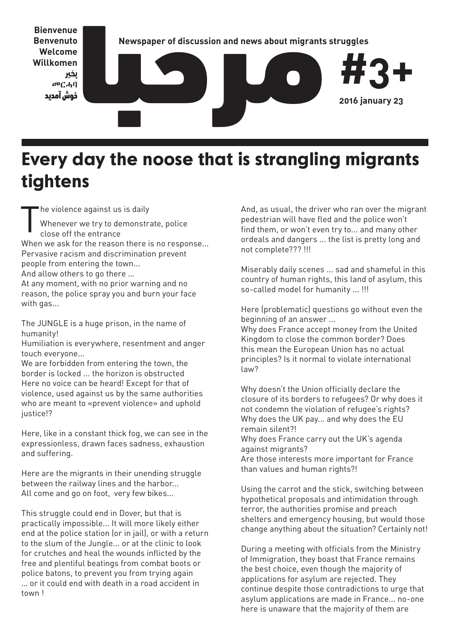

### **Every day the noose that is strangling migrants tightens**

T he violence against us is daily

Whenever we try to demonstrate, police close off the entrance

When we ask for the reason there is no response... Pervasive racism and discrimination prevent people from entering the town...

And allow others to go there …

At any moment, with no prior warning and no reason, the police spray you and burn your face with gas...

The JUNGLE is a huge prison, in the name of humanity!

Humiliation is everywhere, resentment and anger touch everyone...

We are forbidden from entering the town, the border is locked ... the horizon is obstructed Here no voice can be heard! Except for that of violence, used against us by the same authorities who are meant to «prevent violence» and uphold justice!?

Here, like in a constant thick fog, we can see in the expressionless, drawn faces sadness, exhaustion and suffering.

Here are the migrants in their unending struggle between the railway lines and the harbor... All come and go on foot, very few bikes...

This struggle could end in Dover, but that is practically impossible... It will more likely either end at the police station (or in jail), or with a return to the slum of the Jungle... or at the clinic to look for crutches and heal the wounds inflicted by the free and plentiful beatings from combat boots or police batons, to prevent you from trying again … or it could end with death in a road accident in town !

And, as usual, the driver who ran over the migrant pedestrian will have fled and the police won't find them, or won't even try to... and many other ordeals and dangers ... the list is pretty long and not complete??? !!!

Miserably daily scenes ... sad and shameful in this country of human rights, this land of asylum, this so-called model for humanity ... !!!

Here (problematic) questions go without even the beginning of an answer ...

Why does France accept money from the United Kingdom to close the common border? Does this mean the European Union has no actual principles? Is it normal to violate international law?

Why doesn't the Union officially declare the closure of its borders to refugees? Or why does it not condemn the violation of refugee's rights? Why does the UK pay... and why does the EU remain silent?!

Why does France carry out the UK's agenda against migrants?

Are those interests more important for France than values and human rights?!

Using the carrot and the stick, switching between hypothetical proposals and intimidation through terror, the authorities promise and preach shelters and emergency housing, but would those change anything about the situation? Certainly not!

During a meeting with officials from the Ministry of Immigration, they boast that France remains the best choice, even though the majority of applications for asylum are rejected. They continue despite those contradictions to urge that asylum applications are made in France... no-one here is unaware that the majority of them are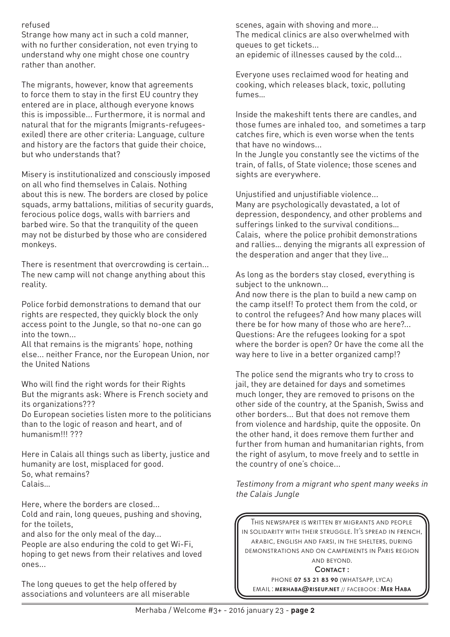### refused

Strange how many act in such a cold manner, with no further consideration, not even trying to understand why one might chose one country rather than another.

The migrants, however, know that agreements to force them to stay in the first EU country they entered are in place, although everyone knows this is impossible... Furthermore, it is normal and natural that for the migrants (migrants-refugeesexiled) there are other criteria: Language, culture and history are the factors that guide their choice, but who understands that?

Misery is institutionalized and consciously imposed on all who find themselves in Calais. Nothing about this is new. The borders are closed by police squads, army battalions, militias of security guards, ferocious police dogs, walls with barriers and barbed wire. So that the tranquility of the queen may not be disturbed by those who are considered monkeys.

There is resentment that overcrowding is certain... The new camp will not change anything about this reality.

Police forbid demonstrations to demand that our rights are respected, they quickly block the only access point to the Jungle, so that no-one can go into the town...

All that remains is the migrants' hope, nothing else... neither France, nor the European Union, nor the United Nations

Who will find the right words for their Rights But the migrants ask: Where is French society and its organizations???

Do European societies listen more to the politicians than to the logic of reason and heart, and of humanism!!! ???

Here in Calais all things such as liberty, justice and humanity are lost, misplaced for good. So, what remains? Calais…

Here, where the borders are closed... Cold and rain, long queues, pushing and shoving, for the toilets,

and also for the only meal of the day...

People are also enduring the cold to get Wi-Fi, hoping to get news from their relatives and loved ones...

The long queues to get the help offered by associations and volunteers are all miserable scenes, again with shoving and more... The medical clinics are also overwhelmed with queues to get tickets...

an epidemic of illnesses caused by the cold...

Everyone uses reclaimed wood for heating and cooking, which releases black, toxic, polluting fumes…

Inside the makeshift tents there are candles, and those fumes are inhaled too, and sometimes a tarp catches fire, which is even worse when the tents that have no windows...

In the Jungle you constantly see the victims of the train, of falls, of State violence; those scenes and sights are everywhere.

Unjustified and unjustifiable violence... Many are psychologically devastated, a lot of depression, despondency, and other problems and sufferings linked to the survival conditions… Calais, where the police prohibit demonstrations and rallies… denying the migrants all expression of the desperation and anger that they live…

As long as the borders stay closed, everything is subject to the unknown...

And now there is the plan to build a new camp on the camp itself! To protect them from the cold, or to control the refugees? And how many places will there be for how many of those who are here?... Questions: Are the refugees looking for a spot where the border is open? Or have the come all the way here to live in a better organized camp!?

The police send the migrants who try to cross to jail, they are detained for days and sometimes much longer, they are removed to prisons on the other side of the country, at the Spanish, Swiss and other borders... But that does not remove them from violence and hardship, quite the opposite. On the other hand, it does remove them further and further from human and humanitarian rights, from the right of asylum, to move freely and to settle in the country of one's choice...

Testimony from a migrant who spent many weeks in the Calais Jungle

This newspaper is written by migrants and people in solidarity with their struggle. It's spread in french, arabic, english and farsi, in the shelters, during demonstrations and on campements in Paris region and beyond.

CONTACT:

PHONE **07 53 21 83 90** (WHATSAPP, LYCA) email: merhaba@riseup.net // facebook : Mer Haba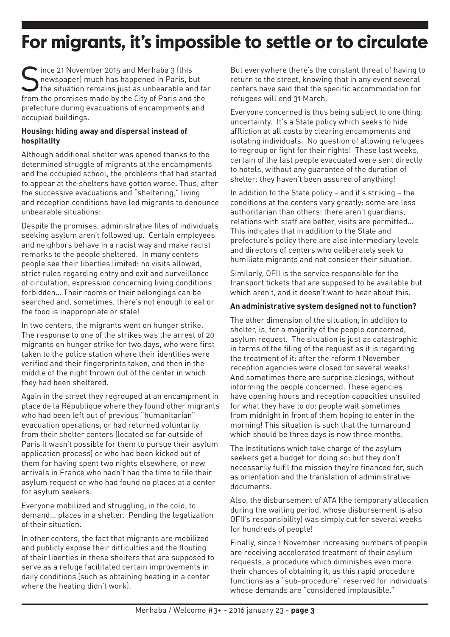# **For migrants, it's impossible to settle or to circulate**

Since 21 November 2015 and Merhaba 3 (this<br>newspaper) much has happened in Paris, b<br>the situation remains just as unbearable an newspaper) much has happened in Paris, but the situation remains just as unbearable and far from the promises made by the City of Paris and the prefecture during evacuations of encampments and occupied buildings.

#### **Housing: hiding away and dispersal instead of hospitality**

Although additional shelter was opened thanks to the determined struggle of migrants at the encampments and the occupied school, the problems that had started to appear at the shelters have gotten worse. Thus, after the successive evacuations and "sheltering," living and reception conditions have led migrants to denounce unbearable situations:

Despite the promises, administrative files of individuals seeking asylum aren't followed up. Certain employees and neighbors behave in a racist way and make racist remarks to the people sheltered. In many centers people see their liberties limited: no visits allowed, strict rules regarding entry and exit and surveillance of circulation, expression concerning living conditions forbidden… Their rooms or their belongings can be searched and, sometimes, there's not enough to eat or the food is inappropriate or stale!

In two centers, the migrants went on hunger strike. The response to one of the strikes was the arrest of 20 migrants on hunger strike for two days, who were first taken to the police station where their identities were verified and their fingerprints taken, and then in the middle of the night thrown out of the center in which they had been sheltered.

Again in the street they regrouped at an encampment in place de la République where they found other migrants who had been left out of previous "humanitarian" evacuation operations, or had returned voluntarily from their shelter centers (located so far outside of Paris it wasn't possible for them to pursue their asylum application process) or who had been kicked out of them for having spent two nights elsewhere, or new arrivals in France who hadn't had the time to file their asylum request or who had found no places at a center for asylum seekers.

Everyone mobilized and struggling, in the cold, to demand… places in a shelter. Pending the legalization of their situation.

In other centers, the fact that migrants are mobilized and publicly expose their difficulties and the flouting of their liberties in these shelters that are supposed to serve as a refuge facilitated certain improvements in daily conditions (such as obtaining heating in a center where the heating didn't work).

But everywhere there's the constant threat of having to return to the street, knowing that in any event several centers have said that the specific accommodation for refugees will end 31 March.

Everyone concerned is thus being subject to one thing: uncertainty. It's a State policy which seeks to hide affliction at all costs by clearing encampments and isolating individuals. No question of allowing refugees to regroup or fight for their rights! These last weeks, certain of the last people evacuated were sent directly to hotels, without any guarantee of the duration of shelter: they haven't been assured of anything!

In addition to the State policy – and it's striking – the conditions at the centers vary greatly: some are less authoritarian than others: there aren't guardians, relations with staff are better, visits are permitted… This indicates that in addition to the State and prefecture's policy there are also intermediary levels and directors of centers who deliberately seek to humiliate migrants and not consider their situation.

Similarly, OFII is the service responsible for the transport tickets that are supposed to be available but which aren't, and it doesn't want to hear about this.

#### **An administrative system designed not to function?**

The other dimension of the situation, in addition to shelter, is, for a majority of the people concerned, asylum request. The situation is just as catastrophic in terms of the filing of the request as it is regarding the treatment of it: after the reform 1 November reception agencies were closed for several weeks! And sometimes there are surprise closings, without informing the people concerned. These agencies have opening hours and reception capacities unsuited for what they have to do: people wait sometimes from midnight in front of them hoping to enter in the morning! This situation is such that the turnaround which should be three days is now three months.

The institutions which take charge of the asylum seekers get a budget for doing so: but they don't necessarily fulfil the mission they're financed for, such as orientation and the translation of administrative documents.

Also, the disbursement of ATA (the temporary allocation during the waiting period, whose disbursement is also OFII's responsibility) was simply cut for several weeks for hundreds of people!

Finally, since 1 November increasing numbers of people are receiving accelerated treatment of their asylum requests, a procedure which diminishes even more their chances of obtaining it, as this rapid procedure functions as a "sub-procedure" reserved for individuals whose demands are "considered implausible."